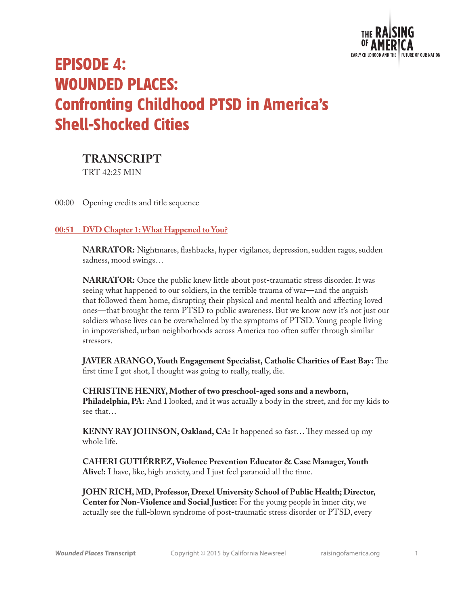

# EPISODE 4: WOUNDED PLACES: Confronting Childhood PTSD in America's Shell-Shocked Cities

## **TRANSCRIPT**

TRT 42:25 MIN

00:00 Opening credits and title sequence

## **00:51 DVD Chapter 1: What Happened to You?**

**NARRATOR:** Nightmares, flashbacks, hyper vigilance, depression, sudden rages, sudden sadness, mood swings…

**NARRATOR:** Once the public knew little about post-traumatic stress disorder. It was seeing what happened to our soldiers, in the terrible trauma of war—and the anguish that followed them home, disrupting their physical and mental health and affecting loved ones—that brought the term PTSD to public awareness. But we know now it's not just our soldiers whose lives can be overwhelmed by the symptoms of PTSD. Young people living in impoverished, urban neighborhoods across America too often suffer through similar stressors.

**JAVIER ARANGO, Youth Engagement Specialist, Catholic Charities of East Bay:** The first time I got shot, I thought was going to really, really, die.

**CHRISTINE HENRY, Mother of two preschool-aged sons and a newborn, Philadelphia, PA:** And I looked, and it was actually a body in the street, and for my kids to see that…

**KENNY RAY JOHNSON, Oakland, CA:** It happened so fast… They messed up my whole life.

**CAHERI GUTIÉRREZ, Violence Prevention Educator & Case Manager, Youth Alive!:** I have, like, high anxiety, and I just feel paranoid all the time.

**JOHN RICH, MD, Professor, Drexel University School of Public Health; Director, Center for Non-Violence and Social Justice:** For the young people in inner city, we actually see the full-blown syndrome of post-traumatic stress disorder or PTSD, every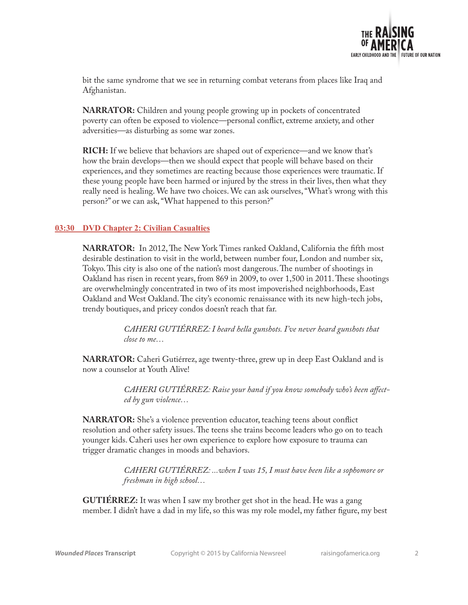

bit the same syndrome that we see in returning combat veterans from places like Iraq and Afghanistan.

**NARRATOR:** Children and young people growing up in pockets of concentrated poverty can often be exposed to violence—personal conflict, extreme anxiety, and other adversities—as disturbing as some war zones.

**RICH:** If we believe that behaviors are shaped out of experience—and we know that's how the brain develops—then we should expect that people will behave based on their experiences, and they sometimes are reacting because those experiences were traumatic. If these young people have been harmed or injured by the stress in their lives, then what they really need is healing. We have two choices. We can ask ourselves, "What's wrong with this person?" or we can ask, "What happened to this person?"

#### **03:30 DVD Chapter 2: Civilian Casualties**

**NARRATOR:** In 2012, The New York Times ranked Oakland, California the fifth most desirable destination to visit in the world, between number four, London and number six, Tokyo. This city is also one of the nation's most dangerous. The number of shootings in Oakland has risen in recent years, from 869 in 2009, to over 1,500 in 2011. These shootings are overwhelmingly concentrated in two of its most impoverished neighborhoods, East Oakland and West Oakland. The city's economic renaissance with its new high-tech jobs, trendy boutiques, and pricey condos doesn't reach that far.

> *CAHERI GUTIÉRREZ: I heard hella gunshots. I've never heard gunshots that close to me…*

**NARRATOR:** Caheri Gutiérrez, age twenty-three, grew up in deep East Oakland and is now a counselor at Youth Alive!

> *CAHERI GUTIÉRREZ: Raise your hand if you know somebody who's been affected by gun violence…*

**NARRATOR:** She's a violence prevention educator, teaching teens about conflict resolution and other safety issues. The teens she trains become leaders who go on to teach younger kids. Caheri uses her own experience to explore how exposure to trauma can trigger dramatic changes in moods and behaviors.

> *CAHERI GUTIÉRREZ: ...when I was 15, I must have been like a sophomore or freshman in high school…*

**GUTIÉRREZ:** It was when I saw my brother get shot in the head. He was a gang member. I didn't have a dad in my life, so this was my role model, my father figure, my best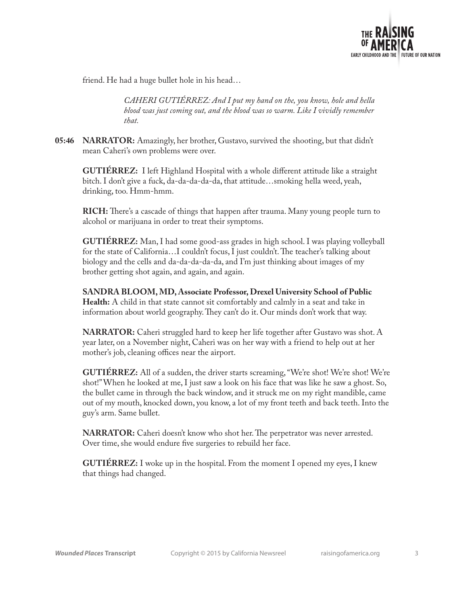

friend. He had a huge bullet hole in his head…

*CAHERI GUTIÉRREZ: And I put my hand on the, you know, hole and hella blood was just coming out, and the blood was so warm. Like I vividly remember that.*

**05:46 NARRATOR:** Amazingly, her brother, Gustavo, survived the shooting, but that didn't mean Caheri's own problems were over.

**GUTIÉRREZ:** I left Highland Hospital with a whole different attitude like a straight bitch. I don't give a fuck, da-da-da-da-da, that attitude…smoking hella weed, yeah, drinking, too. Hmm-hmm.

**RICH:** There's a cascade of things that happen after trauma. Many young people turn to alcohol or marijuana in order to treat their symptoms.

**GUTIÉRREZ:** Man, I had some good-ass grades in high school. I was playing volleyball for the state of California…I couldn't focus, I just couldn't. The teacher's talking about biology and the cells and da-da-da-da-da, and I'm just thinking about images of my brother getting shot again, and again, and again.

**SANDRA BLOOM, MD, Associate Professor, Drexel University School of Public Health:** A child in that state cannot sit comfortably and calmly in a seat and take in information about world geography. They can't do it. Our minds don't work that way.

**NARRATOR:** Caheri struggled hard to keep her life together after Gustavo was shot. A year later, on a November night, Caheri was on her way with a friend to help out at her mother's job, cleaning offices near the airport.

**GUTIÉRREZ:** All of a sudden, the driver starts screaming, "We're shot! We're shot! We're shot!" When he looked at me, I just saw a look on his face that was like he saw a ghost. So, the bullet came in through the back window, and it struck me on my right mandible, came out of my mouth, knocked down, you know, a lot of my front teeth and back teeth. Into the guy's arm. Same bullet.

**NARRATOR:** Caheri doesn't know who shot her. The perpetrator was never arrested. Over time, she would endure five surgeries to rebuild her face.

**GUTIÉRREZ:** I woke up in the hospital. From the moment I opened my eyes, I knew that things had changed.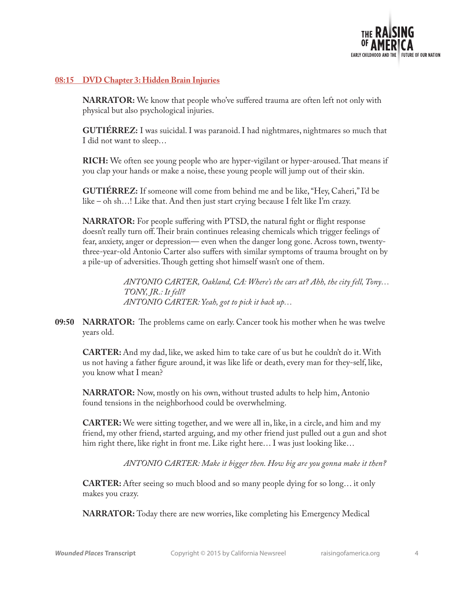

#### **08:15 DVD Chapter 3: Hidden Brain Injuries**

**NARRATOR:** We know that people who've suffered trauma are often left not only with physical but also psychological injuries.

**GUTIÉRREZ:** I was suicidal. I was paranoid. I had nightmares, nightmares so much that I did not want to sleep…

**RICH:** We often see young people who are hyper-vigilant or hyper-aroused. That means if you clap your hands or make a noise, these young people will jump out of their skin.

**GUTIÉRREZ:** If someone will come from behind me and be like, "Hey, Caheri," I'd be like – oh sh…! Like that. And then just start crying because I felt like I'm crazy.

**NARRATOR:** For people suffering with PTSD, the natural fight or flight response doesn't really turn off. Their brain continues releasing chemicals which trigger feelings of fear, anxiety, anger or depression— even when the danger long gone. Across town, twentythree-year-old Antonio Carter also suffers with similar symptoms of trauma brought on by a pile-up of adversities. Though getting shot himself wasn't one of them.

> *ANTONIO CARTER, Oakland, CA: Where's the cars at? Ahh, the city fell, Tony… TONY, JR.: It fell? ANTONIO CARTER: Yeah, got to pick it back up…*

**09:50 NARRATOR:** The problems came on early. Cancer took his mother when he was twelve years old.

**CARTER:** And my dad, like, we asked him to take care of us but he couldn't do it. With us not having a father figure around, it was like life or death, every man for they-self, like, you know what I mean?

**NARRATOR:** Now, mostly on his own, without trusted adults to help him, Antonio found tensions in the neighborhood could be overwhelming.

**CARTER:** We were sitting together, and we were all in, like, in a circle, and him and my friend, my other friend, started arguing, and my other friend just pulled out a gun and shot him right there, like right in front me. Like right here… I was just looking like…

*ANTONIO CARTER: Make it bigger then. How big are you gonna make it then?*

**CARTER:** After seeing so much blood and so many people dying for so long… it only makes you crazy.

**NARRATOR:** Today there are new worries, like completing his Emergency Medical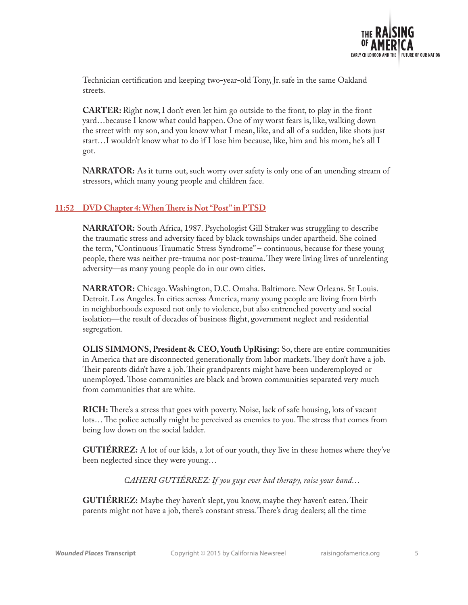

Technician certification and keeping two-year-old Tony, Jr. safe in the same Oakland streets.

**CARTER:** Right now, I don't even let him go outside to the front, to play in the front yard…because I know what could happen. One of my worst fears is, like, walking down the street with my son, and you know what I mean, like, and all of a sudden, like shots just start…I wouldn't know what to do if I lose him because, like, him and his mom, he's all I got.

**NARRATOR:** As it turns out, such worry over safety is only one of an unending stream of stressors, which many young people and children face.

## **11:52 DVD Chapter 4: When There is Not "Post" in PTSD**

**NARRATOR:** South Africa, 1987. Psychologist Gill Straker was struggling to describe the traumatic stress and adversity faced by black townships under apartheid. She coined the term, "Continuous Traumatic Stress Syndrome" – continuous, because for these young people, there was neither pre-trauma nor post-trauma. They were living lives of unrelenting adversity—as many young people do in our own cities.

**NARRATOR:** Chicago. Washington, D.C. Omaha. Baltimore. New Orleans. St Louis. Detroit. Los Angeles. In cities across America, many young people are living from birth in neighborhoods exposed not only to violence, but also entrenched poverty and social isolation—the result of decades of business flight, government neglect and residential segregation.

**OLIS SIMMONS, President & CEO, Youth UpRising:** So, there are entire communities in America that are disconnected generationally from labor markets. They don't have a job. Their parents didn't have a job. Their grandparents might have been underemployed or unemployed. Those communities are black and brown communities separated very much from communities that are white.

**RICH:** There's a stress that goes with poverty. Noise, lack of safe housing, lots of vacant lots… The police actually might be perceived as enemies to you. The stress that comes from being low down on the social ladder.

**GUTIÉRREZ:** A lot of our kids, a lot of our youth, they live in these homes where they've been neglected since they were young…

*CAHERI GUTIÉRREZ: If you guys ever had therapy, raise your hand…*

**GUTIÉRREZ:** Maybe they haven't slept, you know, maybe they haven't eaten. Their parents might not have a job, there's constant stress. There's drug dealers; all the time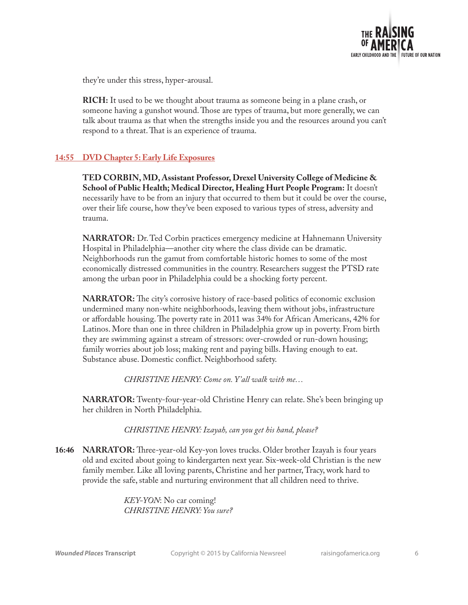

they're under this stress, hyper-arousal.

**RICH:** It used to be we thought about trauma as someone being in a plane crash, or someone having a gunshot wound. Those are types of trauma, but more generally, we can talk about trauma as that when the strengths inside you and the resources around you can't respond to a threat. That is an experience of trauma.

## **14:55 DVD Chapter 5: Early Life Exposures**

**TED CORBIN, MD, Assistant Professor, Drexel University College of Medicine & School of Public Health; Medical Director, Healing Hurt People Program:** It doesn't necessarily have to be from an injury that occurred to them but it could be over the course, over their life course, how they've been exposed to various types of stress, adversity and trauma.

**NARRATOR:** Dr. Ted Corbin practices emergency medicine at Hahnemann University Hospital in Philadelphia—another city where the class divide can be dramatic. Neighborhoods run the gamut from comfortable historic homes to some of the most economically distressed communities in the country. Researchers suggest the PTSD rate among the urban poor in Philadelphia could be a shocking forty percent.

**NARRATOR:** The city's corrosive history of race-based politics of economic exclusion undermined many non-white neighborhoods, leaving them without jobs, infrastructure or affordable housing. The poverty rate in 2011 was 34% for African Americans, 42% for Latinos. More than one in three children in Philadelphia grow up in poverty. From birth they are swimming against a stream of stressors: over-crowded or run-down housing; family worries about job loss; making rent and paying bills. Having enough to eat. Substance abuse. Domestic conflict. Neighborhood safety.

*CHRISTINE HENRY: Come on. Y'all walk with me…*

**NARRATOR:** Twenty-four-year-old Christine Henry can relate. She's been bringing up her children in North Philadelphia.

#### *CHRISTINE HENRY: Izayah, can you get his hand, please?*

**16:46 NARRATOR:** Three-year-old Key-yon loves trucks. Older brother Izayah is four years old and excited about going to kindergarten next year. Six-week-old Christian is the new family member. Like all loving parents, Christine and her partner, Tracy, work hard to provide the safe, stable and nurturing environment that all children need to thrive.

> *KEY-YON*: No car coming! *CHRISTINE HENRY: You sure?*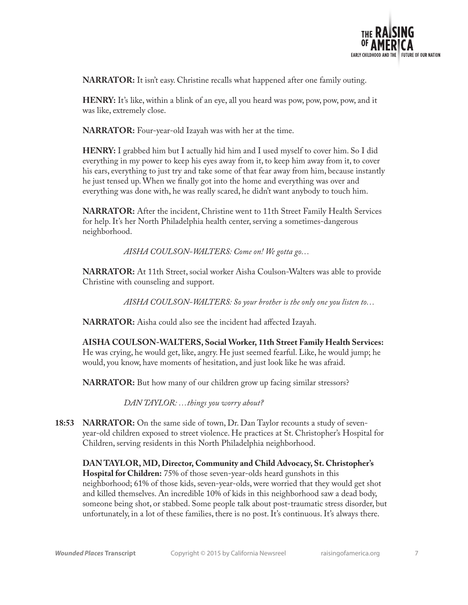

**NARRATOR:** It isn't easy. Christine recalls what happened after one family outing.

**HENRY:** It's like, within a blink of an eye, all you heard was pow, pow, pow, pow, and it was like, extremely close.

**NARRATOR:** Four-year-old Izayah was with her at the time.

**HENRY:** I grabbed him but I actually hid him and I used myself to cover him. So I did everything in my power to keep his eyes away from it, to keep him away from it, to cover his ears, everything to just try and take some of that fear away from him, because instantly he just tensed up. When we finally got into the home and everything was over and everything was done with, he was really scared, he didn't want anybody to touch him.

**NARRATOR:** After the incident, Christine went to 11th Street Family Health Services for help. It's her North Philadelphia health center, serving a sometimes-dangerous neighborhood.

*AISHA COULSON-WALTERS: Come on! We gotta go…*

**NARRATOR:** At 11th Street, social worker Aisha Coulson-Walters was able to provide Christine with counseling and support.

*AISHA COULSON-WALTERS: So your brother is the only one you listen to…*

**NARRATOR:** Aisha could also see the incident had affected Izayah.

**AISHA COULSON-WALTERS, Social Worker, 11th Street Family Health Services:** He was crying, he would get, like, angry. He just seemed fearful. Like, he would jump; he would, you know, have moments of hesitation, and just look like he was afraid.

**NARRATOR:** But how many of our children grow up facing similar stressors?

*DAN TAYLOR: …things you worry about?*

**18:53 NARRATOR:** On the same side of town, Dr. Dan Taylor recounts a study of sevenyear-old children exposed to street violence. He practices at St. Christopher's Hospital for Children, serving residents in this North Philadelphia neighborhood.

## **DAN TAYLOR, MD, Director, Community and Child Advocacy, St. Christopher's**

**Hospital for Children:** 75% of those seven-year-olds heard gunshots in this neighborhood; 61% of those kids, seven-year-olds, were worried that they would get shot and killed themselves. An incredible 10% of kids in this neighborhood saw a dead body, someone being shot, or stabbed. Some people talk about post-traumatic stress disorder, but unfortunately, in a lot of these families, there is no post. It's continuous. It's always there.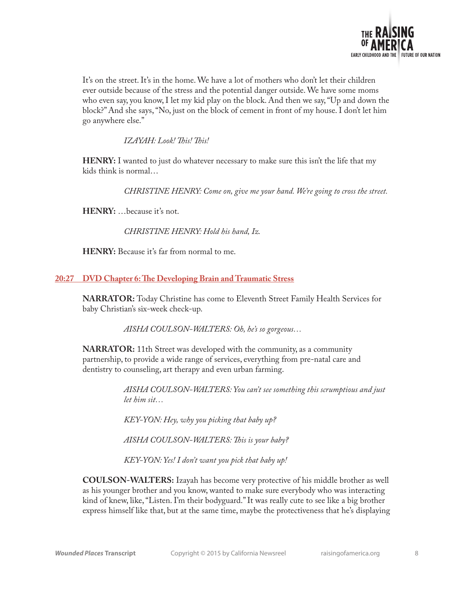

It's on the street. It's in the home. We have a lot of mothers who don't let their children ever outside because of the stress and the potential danger outside. We have some moms who even say, you know, I let my kid play on the block. And then we say, "Up and down the block?" And she says, "No, just on the block of cement in front of my house. I don't let him go anywhere else."

*IZAYAH: Look! This! This!*

**HENRY:** I wanted to just do whatever necessary to make sure this isn't the life that my kids think is normal…

*CHRISTINE HENRY: Come on, give me your hand. We're going to cross the street.* 

**HENRY:** …because it's not.

*CHRISTINE HENRY: Hold his hand, Iz.*

**HENRY:** Because it's far from normal to me.

**20:27 DVD Chapter 6: The Developing Brain and Traumatic Stress**

**NARRATOR:** Today Christine has come to Eleventh Street Family Health Services for baby Christian's six-week check-up.

*AISHA COULSON-WALTERS: Oh, he's so gorgeous…*

**NARRATOR:** 11th Street was developed with the community, as a community partnership, to provide a wide range of services, everything from pre-natal care and dentistry to counseling, art therapy and even urban farming.

> *AISHA COULSON-WALTERS: You can't see something this scrumptious and just let him sit…*

*KEY-YON: Hey, why you picking that baby up?*

*AISHA COULSON-WALTERS: This is your baby?*

*KEY-YON: Yes! I don't want you pick that baby up!*

**COULSON-WALTERS:** Izayah has become very protective of his middle brother as well as his younger brother and you know, wanted to make sure everybody who was interacting kind of knew, like, "Listen. I'm their bodyguard." It was really cute to see like a big brother express himself like that, but at the same time, maybe the protectiveness that he's displaying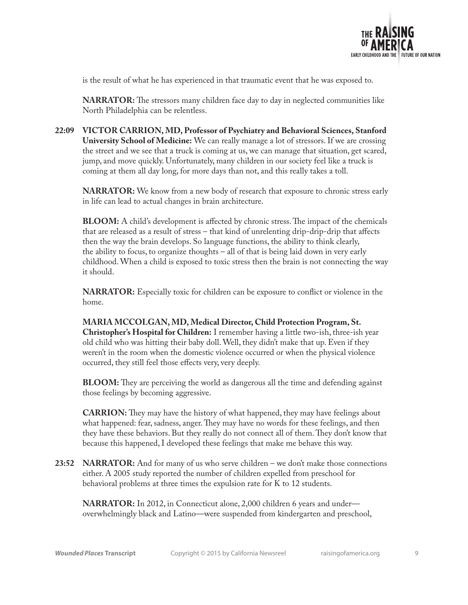

is the result of what he has experienced in that traumatic event that he was exposed to.

**NARRATOR:** The stressors many children face day to day in neglected communities like North Philadelphia can be relentless.

**22:09 VICTOR CARRION, MD, Professor of Psychiatry and Behavioral Sciences, Stanford University School of Medicine:** We can really manage a lot of stressors. If we are crossing the street and we see that a truck is coming at us, we can manage that situation, get scared, jump, and move quickly. Unfortunately, many children in our society feel like a truck is coming at them all day long, for more days than not, and this really takes a toll.

**NARRATOR:** We know from a new body of research that exposure to chronic stress early in life can lead to actual changes in brain architecture.

**BLOOM:** A child's development is affected by chronic stress. The impact of the chemicals that are released as a result of stress – that kind of unrelenting drip-drip-drip that affects then the way the brain develops. So language functions, the ability to think clearly, the ability to focus, to organize thoughts – all of that is being laid down in very early childhood. When a child is exposed to toxic stress then the brain is not connecting the way it should.

**NARRATOR:** Especially toxic for children can be exposure to conflict or violence in the home.

**MARIA MCCOLGAN, MD, Medical Director, Child Protection Program, St. Christopher's Hospital for Children:** I remember having a little two-ish, three-ish year old child who was hitting their baby doll. Well, they didn't make that up. Even if they weren't in the room when the domestic violence occurred or when the physical violence occurred, they still feel those effects very, very deeply.

**BLOOM:** They are perceiving the world as dangerous all the time and defending against those feelings by becoming aggressive.

**CARRION:** They may have the history of what happened, they may have feelings about what happened: fear, sadness, anger. They may have no words for these feelings, and then they have these behaviors. But they really do not connect all of them. They don't know that because this happened, I developed these feelings that make me behave this way.

**23:52 NARRATOR:** And for many of us who serve children – we don't make those connections either. A 2005 study reported the number of children expelled from preschool for behavioral problems at three times the expulsion rate for K to 12 students.

**NARRATOR:** In 2012, in Connecticut alone, 2,000 children 6 years and under overwhelmingly black and Latino—were suspended from kindergarten and preschool,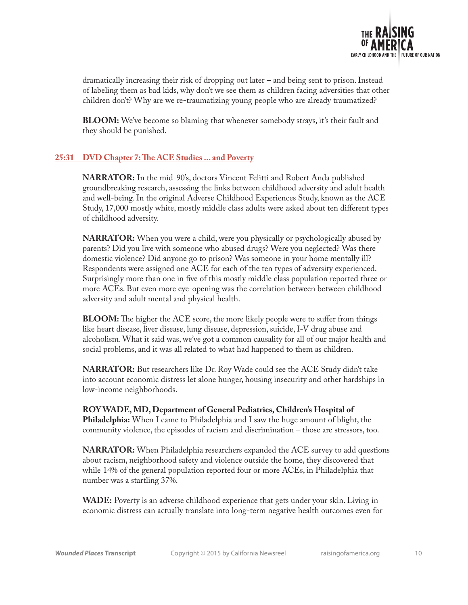![](_page_9_Picture_0.jpeg)

dramatically increasing their risk of dropping out later – and being sent to prison. Instead of labeling them as bad kids, why don't we see them as children facing adversities that other children don't? Why are we re-traumatizing young people who are already traumatized?

**BLOOM:** We've become so blaming that whenever somebody strays, it's their fault and they should be punished.

## **25:31 DVD Chapter 7: The ACE Studies ... and Poverty**

**NARRATOR:** In the mid-90's, doctors Vincent Felitti and Robert Anda published groundbreaking research, assessing the links between childhood adversity and adult health and well-being. In the original Adverse Childhood Experiences Study, known as the ACE Study, 17,000 mostly white, mostly middle class adults were asked about ten different types of childhood adversity.

**NARRATOR:** When you were a child, were you physically or psychologically abused by parents? Did you live with someone who abused drugs? Were you neglected? Was there domestic violence? Did anyone go to prison? Was someone in your home mentally ill? Respondents were assigned one ACE for each of the ten types of adversity experienced. Surprisingly more than one in five of this mostly middle class population reported three or more ACEs. But even more eye-opening was the correlation between between childhood adversity and adult mental and physical health.

**BLOOM:** The higher the ACE score, the more likely people were to suffer from things like heart disease, liver disease, lung disease, depression, suicide, I-V drug abuse and alcoholism. What it said was, we've got a common causality for all of our major health and social problems, and it was all related to what had happened to them as children.

**NARRATOR:** But researchers like Dr. Roy Wade could see the ACE Study didn't take into account economic distress let alone hunger, housing insecurity and other hardships in low-income neighborhoods.

**ROY WADE, MD, Department of General Pediatrics, Children's Hospital of Philadelphia:** When I came to Philadelphia and I saw the huge amount of blight, the community violence, the episodes of racism and discrimination – those are stressors, too.

**NARRATOR:** When Philadelphia researchers expanded the ACE survey to add questions about racism, neighborhood safety and violence outside the home, they discovered that while 14% of the general population reported four or more ACEs, in Philadelphia that number was a startling 37%.

**WADE:** Poverty is an adverse childhood experience that gets under your skin. Living in economic distress can actually translate into long-term negative health outcomes even for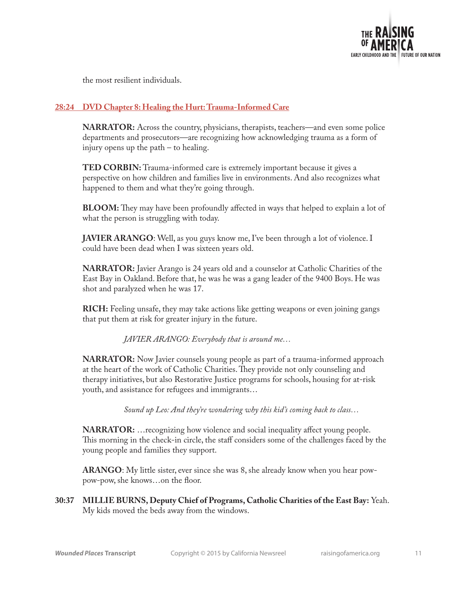![](_page_10_Picture_0.jpeg)

the most resilient individuals.

## **28:24 DVD Chapter 8: Healing the Hurt: Trauma-Informed Care**

**NARRATOR:** Across the country, physicians, therapists, teachers—and even some police departments and prosecutors—are recognizing how acknowledging trauma as a form of injury opens up the path – to healing.

**TED CORBIN:** Trauma-informed care is extremely important because it gives a perspective on how children and families live in environments. And also recognizes what happened to them and what they're going through.

**BLOOM:** They may have been profoundly affected in ways that helped to explain a lot of what the person is struggling with today.

**JAVIER ARANGO**: Well, as you guys know me, I've been through a lot of violence. I could have been dead when I was sixteen years old.

**NARRATOR:** Javier Arango is 24 years old and a counselor at Catholic Charities of the East Bay in Oakland. Before that, he was he was a gang leader of the 9400 Boys. He was shot and paralyzed when he was 17.

**RICH:** Feeling unsafe, they may take actions like getting weapons or even joining gangs that put them at risk for greater injury in the future.

*JAVIER ARANGO: Everybody that is around me…*

**NARRATOR:** Now Javier counsels young people as part of a trauma-informed approach at the heart of the work of Catholic Charities. They provide not only counseling and therapy initiatives, but also Restorative Justice programs for schools, housing for at-risk youth, and assistance for refugees and immigrants…

*Sound up Leo: And they're wondering why this kid's coming back to class…*

**NARRATOR:** ... recognizing how violence and social inequality affect young people. This morning in the check-in circle, the staff considers some of the challenges faced by the young people and families they support.

**ARANGO**: My little sister, ever since she was 8, she already know when you hear powpow-pow, she knows…on the floor.

**<sup>30:37</sup> MILLIE BURNS, Deputy Chief of Programs, Catholic Charities of the East Bay:** Yeah. My kids moved the beds away from the windows.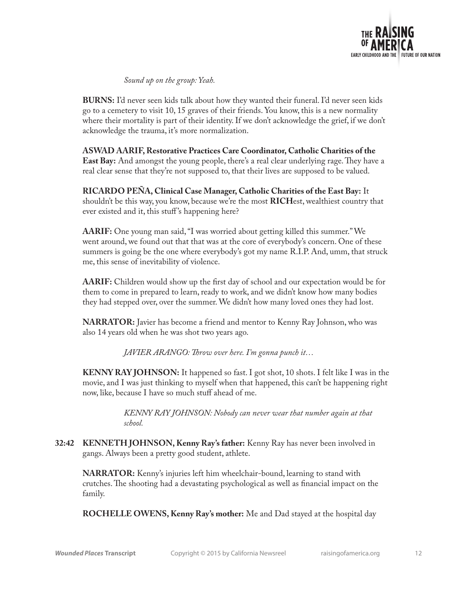![](_page_11_Picture_0.jpeg)

#### *Sound up on the group: Yeah.*

**BURNS:** I'd never seen kids talk about how they wanted their funeral. I'd never seen kids go to a cemetery to visit 10, 15 graves of their friends. You know, this is a new normality where their mortality is part of their identity. If we don't acknowledge the grief, if we don't acknowledge the trauma, it's more normalization.

**ASWAD AARIF, Restorative Practices Care Coordinator, Catholic Charities of the East Bay:** And amongst the young people, there's a real clear underlying rage. They have a real clear sense that they're not supposed to, that their lives are supposed to be valued.

**RICARDO PEÑA, Clinical Case Manager, Catholic Charities of the East Bay:** It shouldn't be this way, you know, because we're the most **RICH**est, wealthiest country that ever existed and it, this stuff's happening here?

**AARIF:** One young man said, "I was worried about getting killed this summer." We went around, we found out that that was at the core of everybody's concern. One of these summers is going be the one where everybody's got my name R.I.P. And, umm, that struck me, this sense of inevitability of violence.

**AARIF:** Children would show up the first day of school and our expectation would be for them to come in prepared to learn, ready to work, and we didn't know how many bodies they had stepped over, over the summer. We didn't how many loved ones they had lost.

**NARRATOR:** Javier has become a friend and mentor to Kenny Ray Johnson, who was also 14 years old when he was shot two years ago.

*JAVIER ARANGO: Throw over here. I'm gonna punch it…*

**KENNY RAY JOHNSON:** It happened so fast. I got shot, 10 shots. I felt like I was in the movie, and I was just thinking to myself when that happened, this can't be happening right now, like, because I have so much stuff ahead of me.

> *KENNY RAY JOHNSON: Nobody can never wear that number again at that school.*

**32:42 KENNETH JOHNSON, Kenny Ray's father:** Kenny Ray has never been involved in gangs. Always been a pretty good student, athlete.

**NARRATOR:** Kenny's injuries left him wheelchair-bound, learning to stand with crutches. The shooting had a devastating psychological as well as financial impact on the family.

**ROCHELLE OWENS, Kenny Ray's mother:** Me and Dad stayed at the hospital day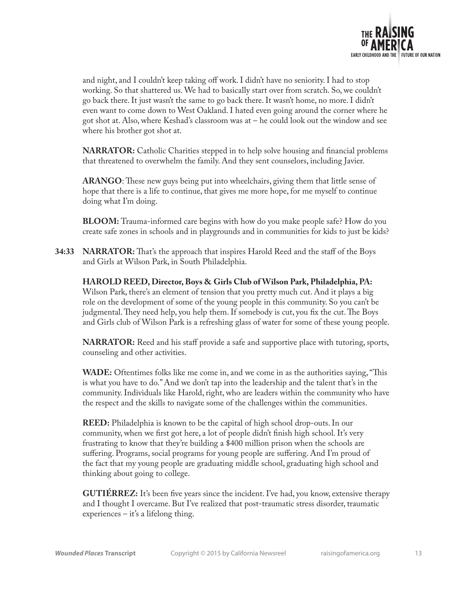![](_page_12_Picture_0.jpeg)

and night, and I couldn't keep taking off work. I didn't have no seniority. I had to stop working. So that shattered us. We had to basically start over from scratch. So, we couldn't go back there. It just wasn't the same to go back there. It wasn't home, no more. I didn't even want to come down to West Oakland. I hated even going around the corner where he got shot at. Also, where Keshad's classroom was at – he could look out the window and see where his brother got shot at.

**NARRATOR:** Catholic Charities stepped in to help solve housing and financial problems that threatened to overwhelm the family. And they sent counselors, including Javier.

**ARANGO**: These new guys being put into wheelchairs, giving them that little sense of hope that there is a life to continue, that gives me more hope, for me myself to continue doing what I'm doing.

**BLOOM:** Trauma-informed care begins with how do you make people safe? How do you create safe zones in schools and in playgrounds and in communities for kids to just be kids?

**34:33 NARRATOR:** That's the approach that inspires Harold Reed and the staff of the Boys and Girls at Wilson Park, in South Philadelphia.

**HAROLD REED, Director, Boys & Girls Club of Wilson Park, Philadelphia, PA:** Wilson Park, there's an element of tension that you pretty much cut. And it plays a big role on the development of some of the young people in this community. So you can't be judgmental. They need help, you help them. If somebody is cut, you fix the cut. The Boys and Girls club of Wilson Park is a refreshing glass of water for some of these young people.

**NARRATOR:** Reed and his staff provide a safe and supportive place with tutoring, sports, counseling and other activities.

**WADE:** Oftentimes folks like me come in, and we come in as the authorities saying, "This is what you have to do." And we don't tap into the leadership and the talent that's in the community. Individuals like Harold, right, who are leaders within the community who have the respect and the skills to navigate some of the challenges within the communities.

**REED:** Philadelphia is known to be the capital of high school drop-outs. In our community, when we first got here, a lot of people didn't finish high school. It's very frustrating to know that they're building a \$400 million prison when the schools are suffering. Programs, social programs for young people are suffering. And I'm proud of the fact that my young people are graduating middle school, graduating high school and thinking about going to college.

**GUTIÉRREZ:** It's been five years since the incident. I've had, you know, extensive therapy and I thought I overcame. But I've realized that post-traumatic stress disorder, traumatic experiences – it's a lifelong thing.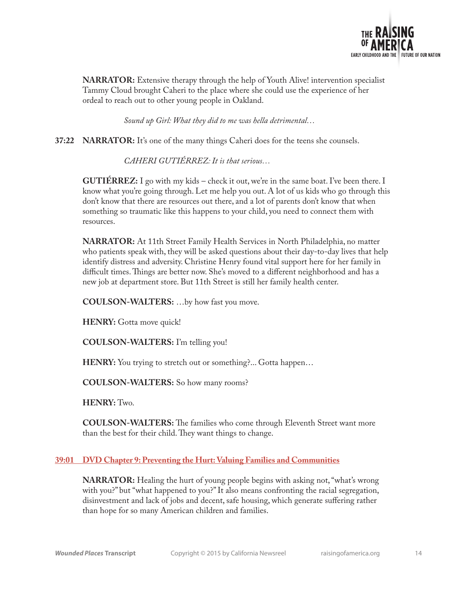![](_page_13_Picture_0.jpeg)

**NARRATOR:** Extensive therapy through the help of Youth Alive! intervention specialist Tammy Cloud brought Caheri to the place where she could use the experience of her ordeal to reach out to other young people in Oakland.

*Sound up Girl: What they did to me was hella detrimental…*

**37:22 NARRATOR:** It's one of the many things Caheri does for the teens she counsels.

*CAHERI GUTIÉRREZ: It is that serious…*

**GUTIÉRREZ:** I go with my kids – check it out, we're in the same boat. I've been there. I know what you're going through. Let me help you out. A lot of us kids who go through this don't know that there are resources out there, and a lot of parents don't know that when something so traumatic like this happens to your child, you need to connect them with resources.

**NARRATOR:** At 11th Street Family Health Services in North Philadelphia, no matter who patients speak with, they will be asked questions about their day-to-day lives that help identify distress and adversity. Christine Henry found vital support here for her family in difficult times. Things are better now. She's moved to a different neighborhood and has a new job at department store. But 11th Street is still her family health center.

**COULSON-WALTERS:** …by how fast you move.

**HENRY:** Gotta move quick!

**COULSON-WALTERS:** I'm telling you!

**HENRY:** You trying to stretch out or something?... Gotta happen...

**COULSON-WALTERS:** So how many rooms?

**HENRY:** Two.

**COULSON-WALTERS:** The families who come through Eleventh Street want more than the best for their child. They want things to change.

## **39:01 DVD Chapter 9: Preventing the Hurt: Valuing Families and Communities**

**NARRATOR:** Healing the hurt of young people begins with asking not, "what's wrong with you?" but "what happened to you?" It also means confronting the racial segregation, disinvestment and lack of jobs and decent, safe housing, which generate suffering rather than hope for so many American children and families.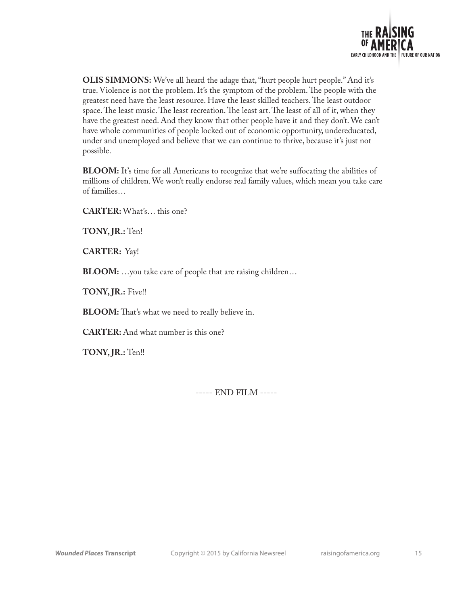![](_page_14_Picture_0.jpeg)

**OLIS SIMMONS:** We've all heard the adage that, "hurt people hurt people." And it's true. Violence is not the problem. It's the symptom of the problem. The people with the greatest need have the least resource. Have the least skilled teachers. The least outdoor space. The least music. The least recreation. The least art. The least of all of it, when they have the greatest need. And they know that other people have it and they don't. We can't have whole communities of people locked out of economic opportunity, undereducated, under and unemployed and believe that we can continue to thrive, because it's just not possible.

**BLOOM:** It's time for all Americans to recognize that we're suffocating the abilities of millions of children. We won't really endorse real family values, which mean you take care of families…

**CARTER:** What's… this one?

**TONY, JR.:** Ten!

**CARTER:** Yay!

**BLOOM:** …you take care of people that are raising children…

**TONY, JR.:** Five!!

**BLOOM:** That's what we need to really believe in.

**CARTER:** And what number is this one?

**TONY, JR.:** Ten!!

----- END FILM -----